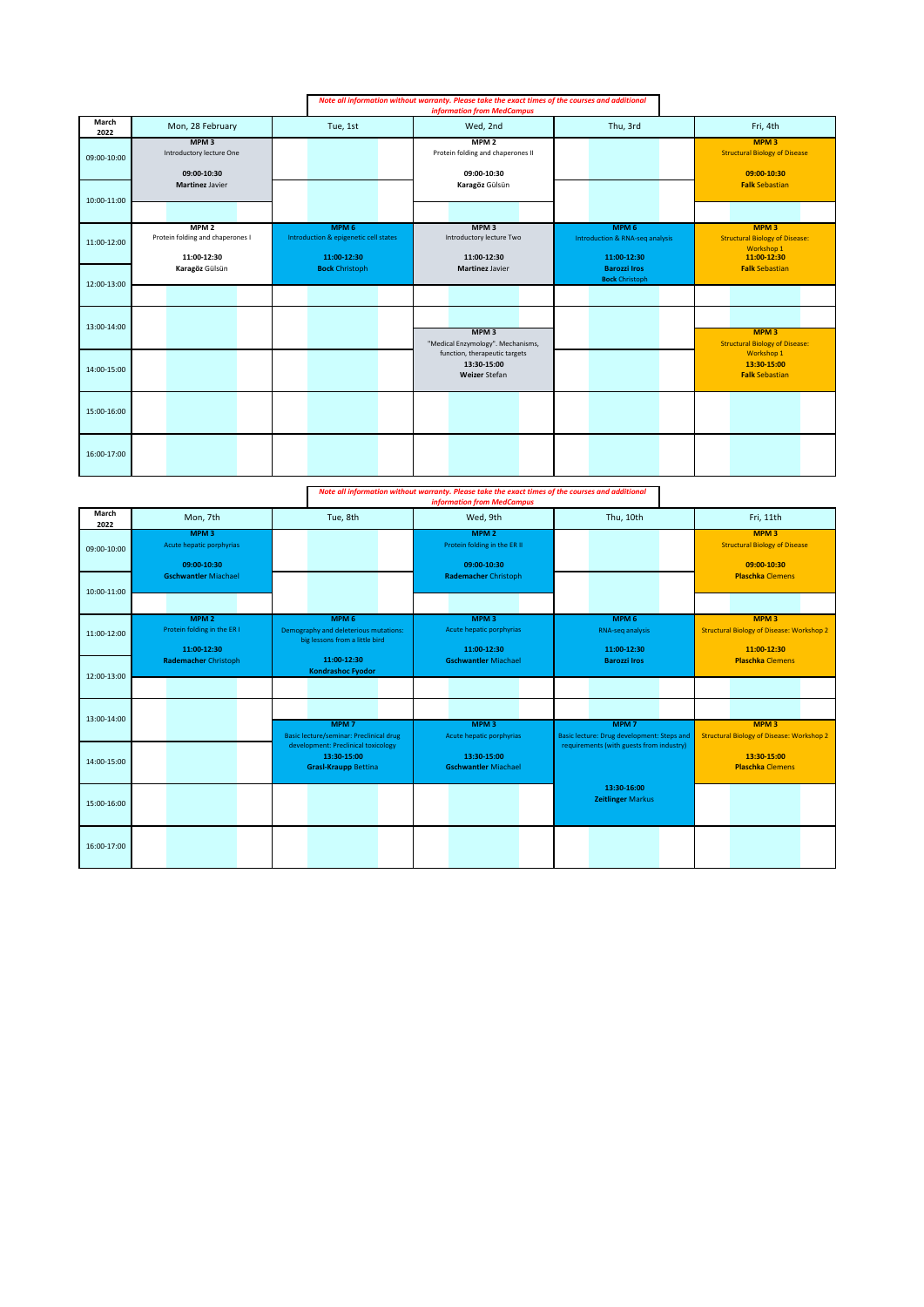|               |                                                                     |                                                                          | Note all information without warranty. Please take the exact times of the courses and additional<br><b>information from MedCampus</b> |                                                                               |                                                                                        |
|---------------|---------------------------------------------------------------------|--------------------------------------------------------------------------|---------------------------------------------------------------------------------------------------------------------------------------|-------------------------------------------------------------------------------|----------------------------------------------------------------------------------------|
| March<br>2022 | Mon, 28 February                                                    | Tue, 1st                                                                 | Wed, 2nd                                                                                                                              | Thu, 3rd                                                                      | Fri, 4th                                                                               |
| 09:00-10:00   | MPM <sub>3</sub><br>Introductory lecture One<br>09:00-10:30         |                                                                          | MPM <sub>2</sub><br>Protein folding and chaperones II<br>09:00-10:30                                                                  |                                                                               | MPM <sub>3</sub><br><b>Structural Biology of Disease</b><br>09:00-10:30                |
| 10:00-11:00   | <b>Martinez Javier</b>                                              |                                                                          | Karagöz Gülsün                                                                                                                        |                                                                               | <b>Falk Sebastian</b>                                                                  |
| 11:00-12:00   | MPM <sub>2</sub><br>Protein folding and chaperones I<br>11:00-12:30 | MPM <sub>6</sub><br>Introduction & epigenetic cell states<br>11:00-12:30 | MPM <sub>3</sub><br>Introductory lecture Two<br>11:00-12:30                                                                           | MPM <sub>6</sub><br><b>Introduction &amp; RNA-seq analysis</b><br>11:00-12:30 | MPM <sub>3</sub><br><b>Structural Biology of Disease:</b><br>Workshop 1<br>11:00-12:30 |
| 12:00-13:00   | Karagöz Gülsün                                                      | <b>Bock Christoph</b>                                                    | Martinez Javier                                                                                                                       | <b>Barozzi Iros</b><br><b>Bock Christoph</b>                                  | <b>Falk Sebastian</b>                                                                  |
|               |                                                                     |                                                                          |                                                                                                                                       |                                                                               |                                                                                        |
| 13:00-14:00   |                                                                     |                                                                          | MPM <sub>3</sub><br>"Medical Enzymology". Mechanisms,                                                                                 |                                                                               | <b>MPM3</b><br><b>Structural Biology of Disease:</b>                                   |
| 14:00-15:00   |                                                                     |                                                                          | function, therapeutic targets<br>13:30-15:00<br>Weizer Stefan                                                                         |                                                                               | Workshop 1<br>13:30-15:00<br><b>Falk Sebastian</b>                                     |
| 15:00-16:00   |                                                                     |                                                                          |                                                                                                                                       |                                                                               |                                                                                        |
| 16:00-17:00   |                                                                     |                                                                          |                                                                                                                                       |                                                                               |                                                                                        |

*Note all information without warranty. Please take the exact times of the courses and additional information from MedCampus*

|               |                                                                |                                                                                             | <u>mjormution jrom ivicucumpus</u>                              |                                                                |                                                                                     |
|---------------|----------------------------------------------------------------|---------------------------------------------------------------------------------------------|-----------------------------------------------------------------|----------------------------------------------------------------|-------------------------------------------------------------------------------------|
| March<br>2022 | Mon, 7th                                                       | Tue, 8th                                                                                    | Wed, 9th                                                        | Thu, 10th                                                      | Fri, 11th                                                                           |
| 09:00-10:00   | MPM <sub>3</sub><br>Acute hepatic porphyrias<br>09:00-10:30    |                                                                                             | MPM <sub>2</sub><br>Protein folding in the ER II<br>09:00-10:30 |                                                                | <b>MPM3</b><br><b>Structural Biology of Disease</b><br>09:00-10:30                  |
| 10:00-11:00   | <b>Gschwantler Miachael</b>                                    |                                                                                             | <b>Rademacher Christoph</b>                                     |                                                                | <b>Plaschka Clemens</b>                                                             |
| 11:00-12:00   | MPM <sub>2</sub><br>Protein folding in the ER I<br>11:00-12:30 | MPM <sub>6</sub><br>Demography and deleterious mutations:<br>big lessons from a little bird | MPM <sub>3</sub><br>Acute hepatic porphyrias<br>11:00-12:30     | MPM <sub>6</sub><br>RNA-seq analysis<br>11:00-12:30            | MPM <sub>3</sub><br><b>Structural Biology of Disease: Workshop 2</b><br>11:00-12:30 |
| 12:00-13:00   | <b>Rademacher Christoph</b>                                    | 11:00-12:30<br><b>Kondrashoc Fyodor</b>                                                     | <b>Gschwantler Miachael</b>                                     | <b>Barozzi Iros</b>                                            | <b>Plaschka Clemens</b>                                                             |
| 13:00-14:00   |                                                                | MPM <sub>7</sub><br><b>Basic lecture/seminar: Preclinical drug</b>                          | MPM <sub>3</sub><br>Acute hepatic porphyrias                    | MPM <sub>7</sub><br>Basic lecture: Drug development: Steps and | MPM <sub>3</sub><br><b>Structural Biology of Disease: Workshop 2</b>                |
| 14:00-15:00   |                                                                | development: Preclinical toxicology<br>13:30-15:00<br><b>Grasl-Kraupp Bettina</b>           | 13:30-15:00<br><b>Gschwantler Miachael</b>                      | requirements (with guests from industry)                       | 13:30-15:00<br><b>Plaschka Clemens</b>                                              |
| 15:00-16:00   |                                                                |                                                                                             |                                                                 | 13:30-16:00<br><b>Zeitlinger Markus</b>                        |                                                                                     |
| 16:00-17:00   |                                                                |                                                                                             |                                                                 |                                                                |                                                                                     |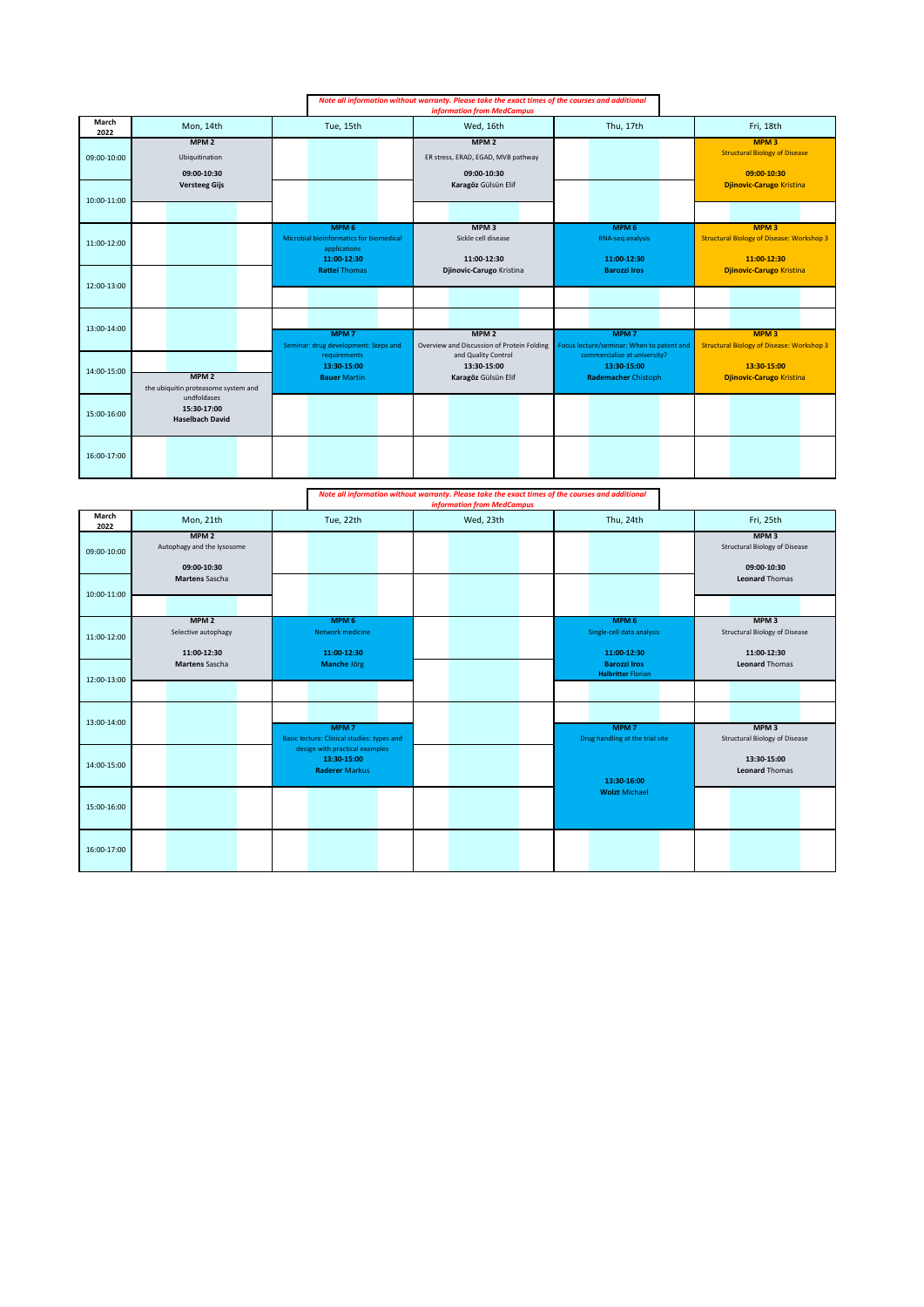|               |                                                         |                                                                                            | Note all information without warranty. Please take the exact times of the courses and additional<br><b>information from MedCampus</b> |                                                                           |                                                                                     |
|---------------|---------------------------------------------------------|--------------------------------------------------------------------------------------------|---------------------------------------------------------------------------------------------------------------------------------------|---------------------------------------------------------------------------|-------------------------------------------------------------------------------------|
| March<br>2022 | Mon, 14th                                               | Tue, 15th                                                                                  | Wed, 16th                                                                                                                             | Thu, 17th                                                                 | Fri, 18th                                                                           |
| 09:00-10:00   | MPM <sub>2</sub><br>Ubiquitination<br>09:00-10:30       |                                                                                            | MPM <sub>2</sub><br>ER stress, ERAD, EGAD, MVB pathway<br>09:00-10:30                                                                 |                                                                           | MPM <sub>3</sub><br><b>Structural Biology of Disease</b><br>09:00-10:30             |
| 10:00-11:00   | <b>Versteeg Gijs</b>                                    |                                                                                            | Karagöz Gülsün Elif                                                                                                                   |                                                                           | <b>Djinovic-Carugo Kristina</b>                                                     |
| 11:00-12:00   |                                                         | MPM <sub>6</sub><br>Microbial bioinformatics for biomedical<br>applications<br>11:00-12:30 | MPM <sub>3</sub><br>Sickle cell disease<br>11:00-12:30                                                                                | MPM <sub>6</sub><br>RNA-seq analysis<br>11:00-12:30                       | MPM <sub>3</sub><br><b>Structural Biology of Disease: Workshop 3</b><br>11:00-12:30 |
| 12:00-13:00   |                                                         | <b>Rattei Thomas</b>                                                                       | Djinovic-Carugo Kristina                                                                                                              | <b>Barozzi Iros</b>                                                       | <b>Djinovic-Carugo Kristina</b>                                                     |
| 13:00-14:00   |                                                         | MPM <sub>7</sub><br>Seminar: drug development: Steps and                                   | MPM <sub>2</sub><br>Overview and Discussion of Protein Folding                                                                        | <b>MPM7</b><br>Focus lecture/seminar: When to patent and                  | <b>MPM3</b><br><b>Structural Biology of Disease: Workshop 3</b>                     |
| 14:00-15:00   | MPM <sub>2</sub><br>the ubiquitin proteasome system and | requirements<br>13:30-15:00<br><b>Bauer Martin</b>                                         | and Quality Control<br>13:30-15:00<br>Karagöz Gülsün Elif                                                                             | commercialize at university?<br>13:30-15:00<br><b>Rademacher Chistoph</b> | 13:30-15:00<br><b>Djinovic-Carugo Kristina</b>                                      |
| 15:00-16:00   | undfoldases<br>15:30-17:00<br><b>Haselbach David</b>    |                                                                                            |                                                                                                                                       |                                                                           |                                                                                     |
| 16:00-17:00   |                                                         |                                                                                            |                                                                                                                                       |                                                                           |                                                                                     |

*Note all information without warranty. Please take the exact times of the courses and additional information from MedCampus*

|               |                                                               |                                                                                                                      | information from Meacampus |                                                              |                                                                              |
|---------------|---------------------------------------------------------------|----------------------------------------------------------------------------------------------------------------------|----------------------------|--------------------------------------------------------------|------------------------------------------------------------------------------|
| March<br>2022 | Mon, 21th                                                     | Tue, 22th                                                                                                            | Wed, 23th                  | Thu, 24th                                                    | Fri, 25th                                                                    |
| 09:00-10:00   | MPM <sub>2</sub><br>Autophagy and the Iysosome<br>09:00-10:30 |                                                                                                                      |                            |                                                              | MPM <sub>3</sub><br><b>Structural Biology of Disease</b><br>09:00-10:30      |
| 10:00-11:00   | Martens Sascha                                                |                                                                                                                      |                            |                                                              | <b>Leonard Thomas</b>                                                        |
| 11:00-12:00   | MPM <sub>2</sub><br>Selective autophagy<br>11:00-12:30        | MPM <sub>6</sub><br><b>Network medicine</b><br>11:00-12:30                                                           |                            | MPM <sub>6</sub><br>Single-cell data analysis<br>11:00-12:30 | MPM <sub>3</sub><br><b>Structural Biology of Disease</b><br>11:00-12:30      |
| 12:00-13:00   | Martens Sascha                                                | <b>Manche Jörg</b>                                                                                                   |                            | <b>Barozzi Iros</b><br><b>Halbritter Florian</b>             | <b>Leonard Thomas</b>                                                        |
| 13:00-14:00   |                                                               | MPM <sub>7</sub>                                                                                                     |                            | MPM <sub>7</sub>                                             | MPM <sub>3</sub>                                                             |
| 14:00-15:00   |                                                               | Basic lecture: Clinical studies: types and<br>design with practical examples<br>13:30-15:00<br><b>Raderer Markus</b> |                            | Drug handling at the trial site                              | <b>Structural Biology of Disease</b><br>13:30-15:00<br><b>Leonard Thomas</b> |
| 15:00-16:00   |                                                               |                                                                                                                      |                            | 13:30-16:00<br><b>Wolzt Michael</b>                          |                                                                              |
| 16:00-17:00   |                                                               |                                                                                                                      |                            |                                                              |                                                                              |